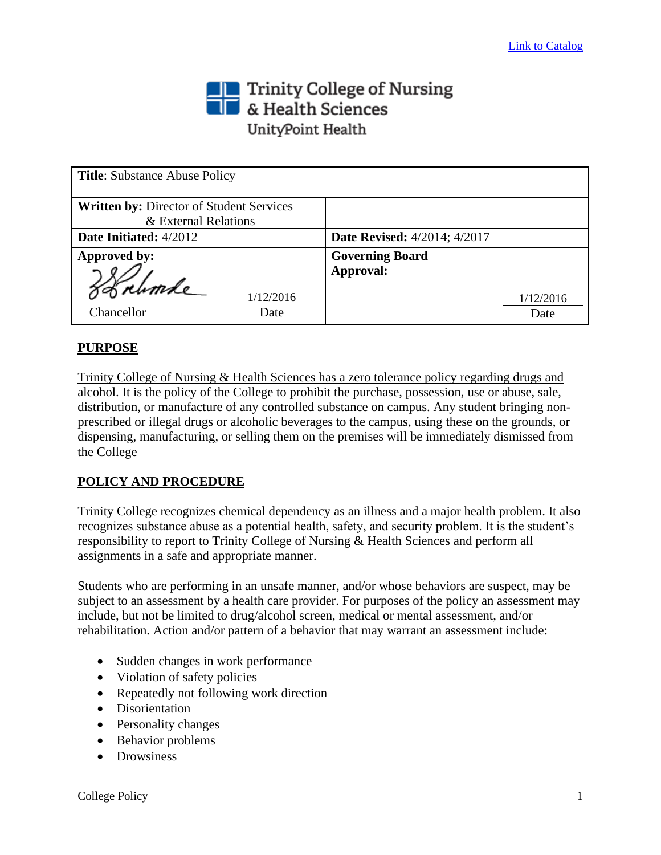# Trinity College of Nursing<br> **The State Sciences** UnityPoint Health

| <b>Title:</b> Substance Abuse Policy                                    |                                     |
|-------------------------------------------------------------------------|-------------------------------------|
| <b>Written by: Director of Student Services</b><br>& External Relations |                                     |
| Date Initiated: 4/2012                                                  | <b>Date Revised:</b> 4/2014; 4/2017 |
| Approved by:                                                            | <b>Governing Board</b><br>Approval: |
| 1/12/2016<br>Chancellor<br>Date                                         | 1/12/2016<br>Date                   |

# **PURPOSE**

Trinity College of Nursing & Health Sciences has a zero tolerance policy regarding drugs and alcohol. It is the policy of the College to prohibit the purchase, possession, use or abuse, sale, distribution, or manufacture of any controlled substance on campus. Any student bringing nonprescribed or illegal drugs or alcoholic beverages to the campus, using these on the grounds, or dispensing, manufacturing, or selling them on the premises will be immediately dismissed from the College

## **POLICY AND PROCEDURE**

Trinity College recognizes chemical dependency as an illness and a major health problem. It also recognizes substance abuse as a potential health, safety, and security problem. It is the student's responsibility to report to Trinity College of Nursing & Health Sciences and perform all assignments in a safe and appropriate manner.

Students who are performing in an unsafe manner, and/or whose behaviors are suspect, may be subject to an assessment by a health care provider. For purposes of the policy an assessment may include, but not be limited to drug/alcohol screen, medical or mental assessment, and/or rehabilitation. Action and/or pattern of a behavior that may warrant an assessment include:

- Sudden changes in work performance
- Violation of safety policies
- Repeatedly not following work direction
- Disorientation
- Personality changes
- Behavior problems
- Drowsiness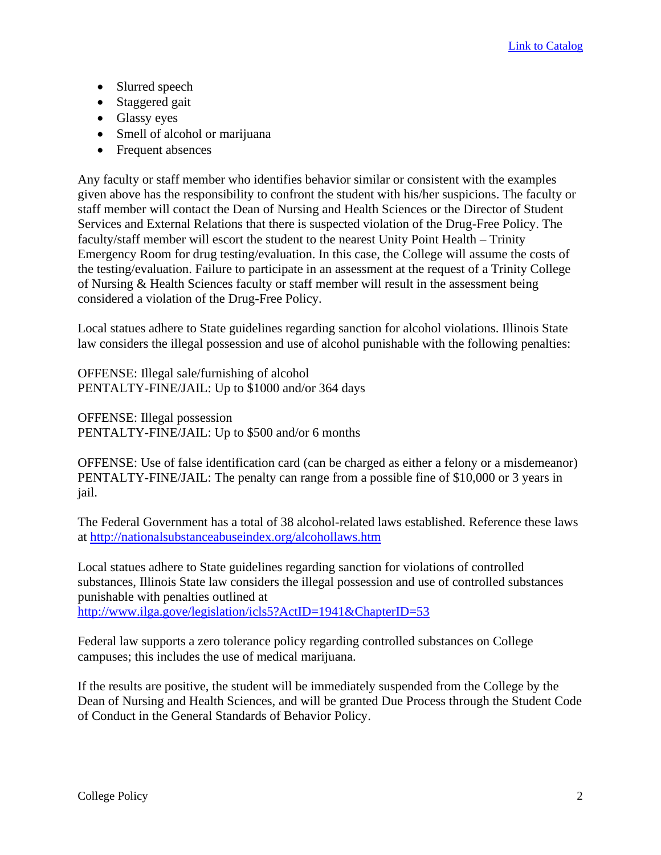- Slurred speech
- Staggered gait
- Glassy eyes
- Smell of alcohol or marijuana
- Frequent absences

Any faculty or staff member who identifies behavior similar or consistent with the examples given above has the responsibility to confront the student with his/her suspicions. The faculty or staff member will contact the Dean of Nursing and Health Sciences or the Director of Student Services and External Relations that there is suspected violation of the Drug-Free Policy. The faculty/staff member will escort the student to the nearest Unity Point Health – Trinity Emergency Room for drug testing/evaluation. In this case, the College will assume the costs of the testing/evaluation. Failure to participate in an assessment at the request of a Trinity College of Nursing & Health Sciences faculty or staff member will result in the assessment being considered a violation of the Drug-Free Policy.

Local statues adhere to State guidelines regarding sanction for alcohol violations. Illinois State law considers the illegal possession and use of alcohol punishable with the following penalties:

OFFENSE: Illegal sale/furnishing of alcohol PENTALTY-FINE/JAIL: Up to \$1000 and/or 364 days

OFFENSE: Illegal possession PENTALTY-FINE/JAIL: Up to \$500 and/or 6 months

OFFENSE: Use of false identification card (can be charged as either a felony or a misdemeanor) PENTALTY-FINE/JAIL: The penalty can range from a possible fine of \$10,000 or 3 years in jail.

The Federal Government has a total of 38 alcohol-related laws established. Reference these laws at<http://nationalsubstanceabuseindex.org/alcohollaws.htm>

Local statues adhere to State guidelines regarding sanction for violations of controlled substances, Illinois State law considers the illegal possession and use of controlled substances punishable with penalties outlined at <http://www.ilga.gove/legislation/icls5?ActID=1941&ChapterID=53>

Federal law supports a zero tolerance policy regarding controlled substances on College campuses; this includes the use of medical marijuana.

If the results are positive, the student will be immediately suspended from the College by the Dean of Nursing and Health Sciences, and will be granted Due Process through the Student Code of Conduct in the General Standards of Behavior Policy.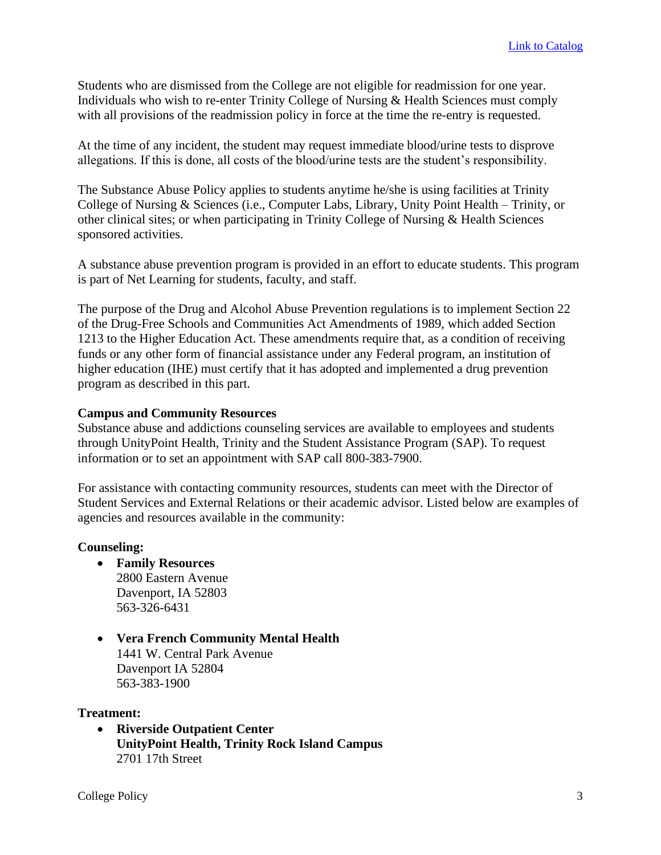Students who are dismissed from the College are not eligible for readmission for one year. Individuals who wish to re-enter Trinity College of Nursing & Health Sciences must comply with all provisions of the readmission policy in force at the time the re-entry is requested.

At the time of any incident, the student may request immediate blood/urine tests to disprove allegations. If this is done, all costs of the blood/urine tests are the student's responsibility.

The Substance Abuse Policy applies to students anytime he/she is using facilities at Trinity College of Nursing & Sciences (i.e., Computer Labs, Library, Unity Point Health – Trinity, or other clinical sites; or when participating in Trinity College of Nursing & Health Sciences sponsored activities.

A substance abuse prevention program is provided in an effort to educate students. This program is part of Net Learning for students, faculty, and staff.

The purpose of the Drug and Alcohol Abuse Prevention regulations is to implement Section 22 of the Drug-Free Schools and Communities Act Amendments of 1989, which added Section 1213 to the Higher Education Act. These amendments require that, as a condition of receiving funds or any other form of financial assistance under any Federal program, an institution of higher education (IHE) must certify that it has adopted and implemented a drug prevention program as described in this part.

### **Campus and Community Resources**

Substance abuse and addictions counseling services are available to employees and students through UnityPoint Health, Trinity and the Student Assistance Program (SAP). To request information or to set an appointment with SAP call 800-383-7900.

For assistance with contacting community resources, students can meet with the Director of Student Services and External Relations or their academic advisor. Listed below are examples of agencies and resources available in the community:

#### **Counseling:**

- **Family Resources** 2800 Eastern Avenue Davenport, IA 52803 563-326-6431
- **Vera French Community Mental Health** 1441 W. Central Park Avenue Davenport IA 52804 563-383-1900

#### **Treatment:**

• **Riverside Outpatient Center UnityPoint Health, Trinity Rock Island Campus** 2701 17th Street